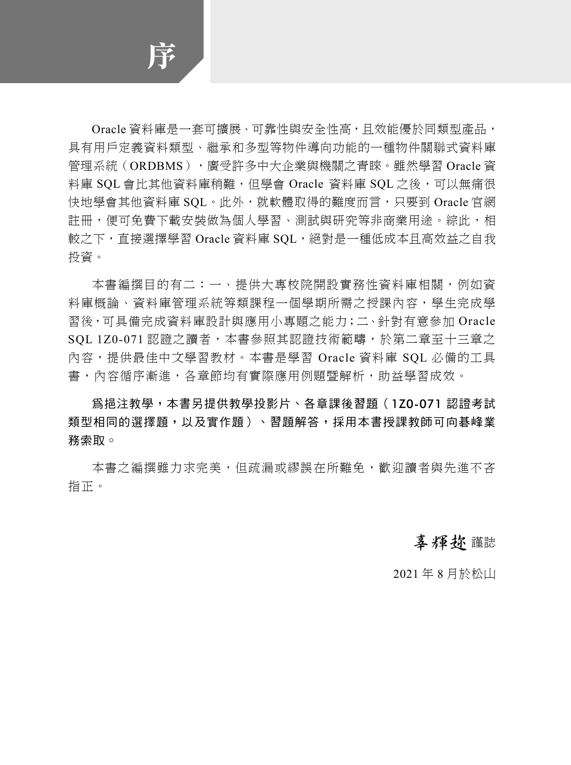序

Oracle 資料庫是一套可擴展、可靠性與安全性高,且效能優於同類型產品, 具有用戶定義資料類型、繼承和多型等物件導向功能的一種物件關聯式資料庫 管理系統(ORDBMS),廣受許多中大企業與機關之青睞。雖然學習 Oracle 資 料庫 SOL 會比其他資料庫稍難,但學會 Oracle 資料庫 SOL 之後,可以無痛很 快地學會其他資料庫 SQL。此外,就軟體取得的難度而言,只要到 Oracle 官網 註冊,便可免費下載安裝做為個人學習、測試與研究等非商業用途。綜此,相 較之下,直接選擇學習 Oracle 資料庫 SQL,絕對是一種低成本且高效益之自我 投資。

本書編撰目的有二:一、提供大專校院開設實務性資料庫相關,例如資 料庫概論、資料庫管理系統等類課程一個學期所需之授課內容,學生完成學 習後,可具備完成資料庫設計與應用小專題之能力;二、針對有意參加 Oracle SQL 1Z0-071 認證之讀者,本書參照其認證技術範疇,於第二章至十三章之 內容,提供最佳中文學習教材。本書是學習 Oracle 資料庫 SQL 必備的工具 書,內容循序漸進,各章節均有實際應用例題暨解析,助益學習成效。

為挹注教學,本書另提供教學投影片、各章課後習題(1Z0-071 認證考試 類型相同的選擇題,以及實作題)、習題解答,採用本書授課教師可向碁峰業 務索取。

本書之編撰雖力求完美,但疏漏或繆誤在所難免,歡迎讀者與先進不吝 指正。

## 辜輝趂 謹誌

2021 年 8 月於松山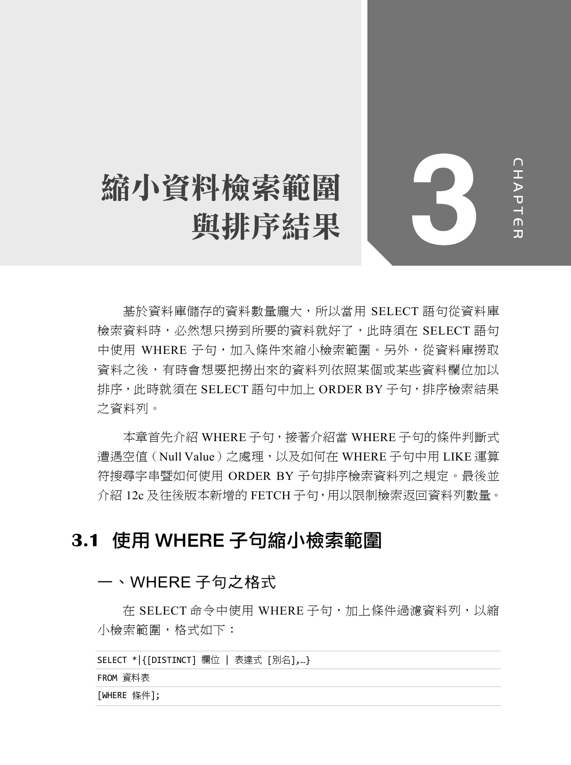# 縮小資料檢索範圍 與排序結果

CHAPTER **HAPTER** 

基於資料庫儲存的資料數量龐大,所以當用 SELECT 語句從資料庫 檢索資料時,必然想只撈到所要的資料就好了,此時須在 SELECT 語句 中使用 WHERE 子句,加入條件來縮小檢索範圍。另外,從資料庫撈取 資料之後,有時會想要把撈出來的資料列依照某個或某些資料欄位加以 排序,此時就須在 SELECT 語句中加上 ORDER BY 子句,排序檢索結果 之資料列。

本章首先介紹 WHERE 子句,接著介紹當 WHERE 子句的條件判斷式 遭遇空值(Null Value)之處理,以及如何在 WHERE 子句中用 LIKE 運算 符搜尋字串暨如何使用 ORDER BY 子句排序檢索資料列之規定。最後並 介紹 12c 及往後版本新增的 FETCH 子句,用以限制檢索返回資料列數量。

# **3.1** 使用 WHERE 子句縮小檢索範圍

## 一、WHERE 子句之格式

在 SELECT 命令中使用 WHERE 子句,加上條件過濾資料列,以縮 小檢索範圍,格式如下:

```
SELECT *|{[DISTINCT] 欄位 | 表達式 [別名],…}
```
FROM 資料表

[WHERE 條件];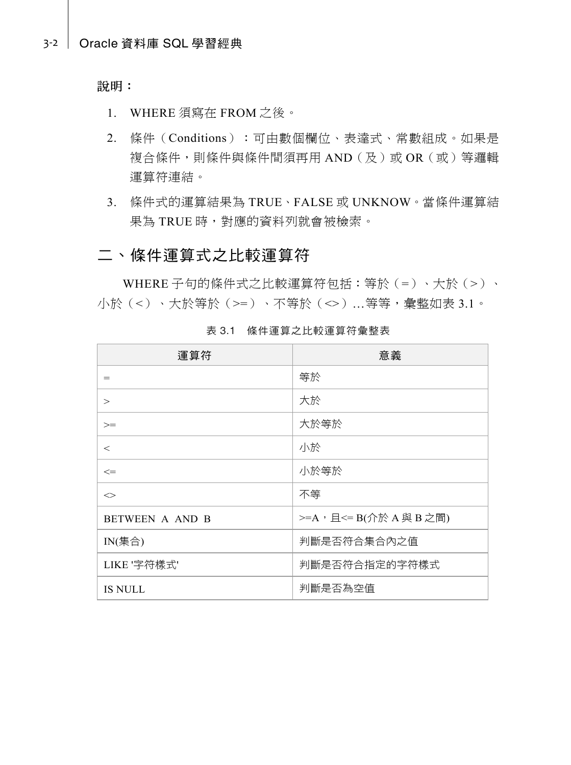說明:

- 1. WHERE 須寫在 FROM 之後。
- 2. 條件(Conditions):可由數個欄位、表達式、常數組成。如果是 複合條件,則條件與條件間須再用 AND(及)或 OR(或)等邏輯 運算符連結。
- 3. 條件式的運算結果為 TRUE、FALSE 或 UNKNOW。當條件運算結 果為 TRUE 時,對應的資料列就會被檢索。

## 二、條件運算式之比較運算符

WHERE 子句的條件式之比較運算符包括:等於(=)、大於(>)、 小於(<)、大於等於(>=)、不等於(<>)…等等,彙整如表 3.1。

| 運算符                         | 意義                       |
|-----------------------------|--------------------------|
| $=$                         | 等於                       |
| $\geq$                      | 大於                       |
| $>=$                        | 大於等於                     |
| $\,<\,$                     | 小於                       |
| $\leq$                      | 小於等於                     |
| $\mathbb{C}$                | 不等                       |
| BETWEEN A AND B             | >=A, 且 <= B(介於 A 與 B 之間) |
| $IN(\not\equiv \ntriangle)$ | 判斷是否符合集合內之值              |
| LIKE '字符樣式'                 | 判斷是否符合指定的字符樣式            |
| <b>IS NULL</b>              | 判斷是否為空值                  |

表 3.1 條件運算之比較運算符彙整表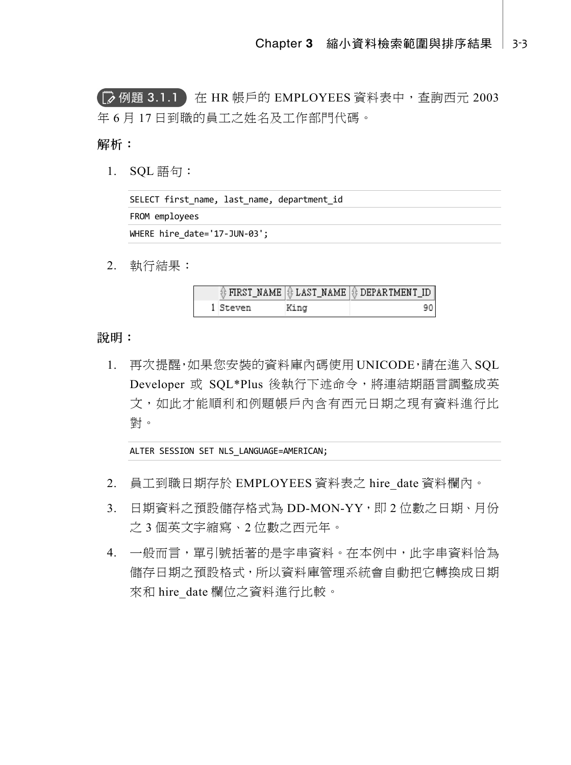**(■ 例題 3.1.1)** 在 HR 帳戶的 EMPLOYEES 資料表中,查詢西元 2003 年 6 月 17 日到職的員工之姓名及工作部門代碼。

解析:

1. SQL 語句:

| SELECT first name, last name, department id |
|---------------------------------------------|
| FROM employees                              |
| WHERE hire date= $'17$ -JUN-03';            |

2. 執行結果:

|          |      | $\frac{1}{2}$ FIRST_NAME $\frac{1}{2}$ LAST_NAME $\frac{1}{2}$ DEPARTMENT_ID |
|----------|------|------------------------------------------------------------------------------|
| l Steven | King |                                                                              |

說明:

1. 再次提醒,如果您安裝的資料庫內碼使用 UNICODE,請在進入 SQL Developer 或 SQL\*Plus 後執行下述命令,將連結期語言調整成英 文,如此才能順利和例題帳戶內含有西元日期之現有資料進行比 對。

ALTER SESSION SET NLS\_LANGUAGE=AMERICAN;

- 2. 員工到職日期存於 EMPLOYEES 資料表之 hire\_date 資料欄內。
- 3. 日期資料之預設儲存格式為 DD-MON-YY,即 2 位數之日期、月份 之 3 個英文字縮寫、2 位數之西元年。
- 4. 一般而言,單引號括著的是字串資料。在本例中,此字串資料恰為 儲存日期之預設格式,所以資料庫管理系統會自動把它轉換成日期 來和 hire\_date 欄位之資料進行比較。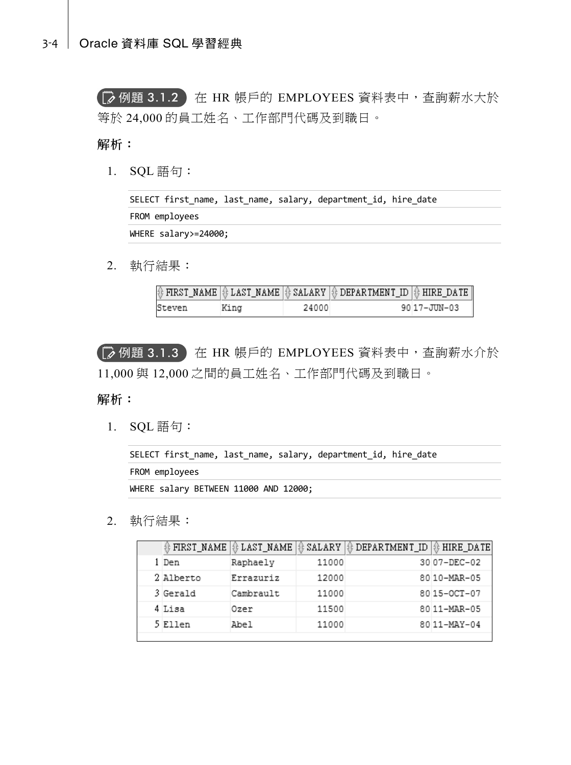【 2 例題 3.1.2 】在 HR 帳戶的 EMPLOYEES 資料表中,查詢薪水大於 等於 24,000 的員工姓名、工作部門代碼及到職日。

解析:

1. SQL 語句:

SELECT first\_name, last\_name, salary, department\_id, hire\_date FROM employees WHERE salary>=24000;

2. 執行結果:

|        |      |       | $\textcircled{\textcircled{\textcircled{\textcirc}}}$ FIRST_NAME $\textcircled{\textcircled{\textcircled{\textcirc}}}$ $\textcircled{\textcircled{\textcirc}}$ ALARY $\textcircled{\textcircled{\textcirc}}$ DEPARTMENT_ID $\textcircled{\textcircled{\textcirc}}$ HIRE_DATE $\textcircled{\textcirc}$ |             |
|--------|------|-------|--------------------------------------------------------------------------------------------------------------------------------------------------------------------------------------------------------------------------------------------------------------------------------------------------------|-------------|
| Steven | King | 24000 |                                                                                                                                                                                                                                                                                                        | 9017-JUN-03 |

【≫ 例題 3.1.3 】在 HR 帳戶的 EMPLOYEES 資料表中,查詢薪水介於 11,000 與 12,000 之間的員工姓名、工作部門代碼及到職日。

#### 解析:

1. SQL 語句:

```
SELECT first_name, last_name, salary, department_id, hire_date 
FROM employees 
WHERE salary BETWEEN 11000 AND 12000;
```
#### 2. 執行結果:

| ∯ FIRST_NAME | 非 LAST_NAME | SALARY | <b>₿ DEPARTMENT_ID   ₿ HIRE_DATE</b> |             |
|--------------|-------------|--------|--------------------------------------|-------------|
| 1 Den        | Raphaely    | 11000  |                                      | 3007-DEC-02 |
| 2 Alberto    | Errazuriz   | 12000  |                                      | 8010-MAR-05 |
| 3 Gerald     | Cambrault   | 11000  |                                      | 8015-0CT-07 |
| 4 Lisa       | Ozer        | 11500  |                                      | 8011-MAR-05 |
| 5 Ellen      | Abel        | 11000  |                                      | 8011-MAY-04 |
|              |             |        |                                      |             |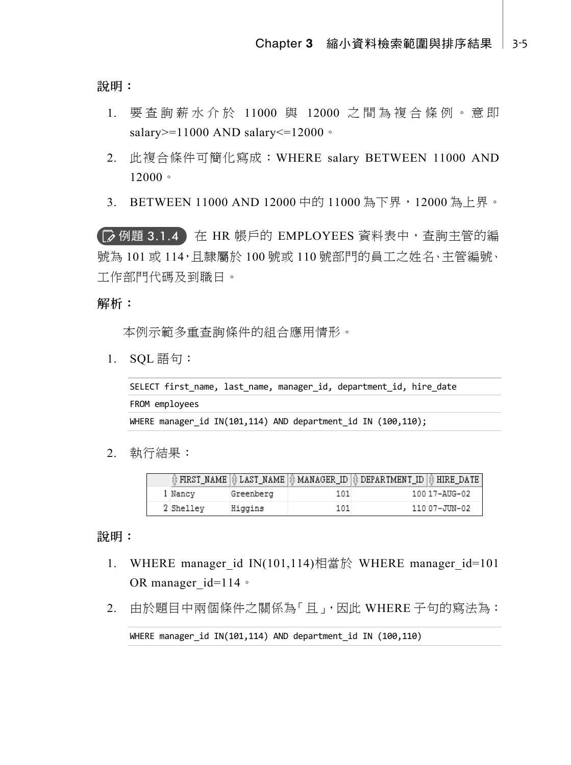說明:

- 1. 要查詢薪水介於 11000 與 12000 之間為複合條例。意即 salary>=11000 AND salary<=12000。
- 2. 此複合條件可簡化寫成:WHERE salary BETWEEN 11000 AND 12000。
- 3. BETWEEN 11000 AND 12000 中的 11000 為下界,12000 為上界。

【お例題 3.1.4 】在 HR 帳戶的 EMPLOYEES 資料表中,查詢主管的編 號為 101 或 114,日隸屬於 100 號或 110 號部門的員工之姓名、主管編號、 工作部門代碼及到職日。

解析:

本例示範多重查詢條件的組合應用情形。

1. SQL 語句:

```
SELECT first_name, last_name, manager_id, department_id, hire_date 
FROM employees 
WHERE manager_id IN(101,114) AND department_id IN (100,110);
```
2. 執行結果:

|           |           |     | $\textcircled{\scriptsize{*}}$ FIRST_NAME $\textcircled{\scriptsize{*}}$ LAST_NAME $\textcircled{\scriptsize{*}}$ MANAGER_ID $\textcircled{\scriptsize{*}}$ DEPARTMENT_ID $\textcircled{\scriptsize{*}}$ HIRE_DATE $\textcircled{\scriptsize{*}}$ |               |
|-----------|-----------|-----|---------------------------------------------------------------------------------------------------------------------------------------------------------------------------------------------------------------------------------------------------|---------------|
| 1 Nancy   | Greenberg | 101 |                                                                                                                                                                                                                                                   | 100 17-AUG-02 |
| 2 Shelley | Higgins   | 101 |                                                                                                                                                                                                                                                   | 11007-JUN-02  |

說明:

- 1. WHERE manager id IN(101,114)相當於 WHERE manager id=101 OR manager id=114。
- 2. 由於題目中兩個條件之關係為「且」,因此 WHERE 子句的寫法為:

WHERE manager id IN(101,114) AND department id IN (100,110)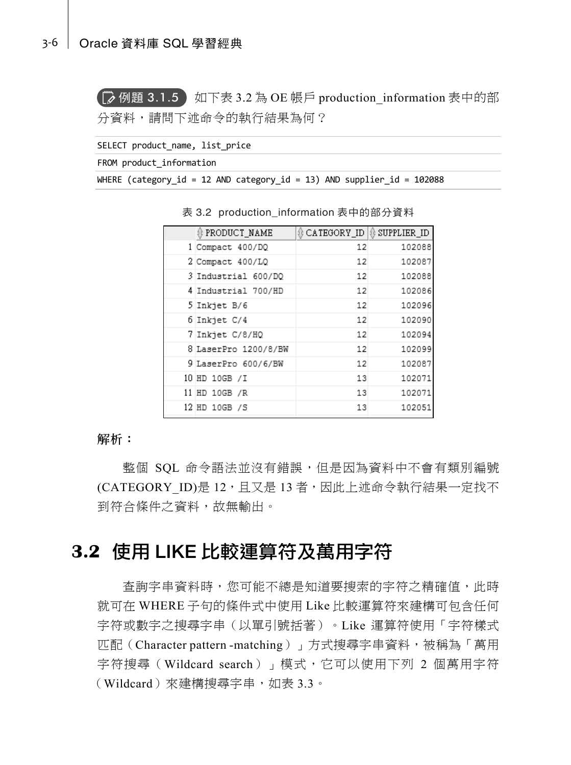#### 3-6 Oracle 資料庫 SQL 學習經典

**【 ② 例題 3.1.5 】**如下表 3.2 為 OE 帳戶 production information 表中的部 分資料,請問下述命令的執行結果為何?

SELECT product name, list price

FROM product information

WHERE (category\_id = 12 AND category\_id = 13) AND supplier\_id = 102088

| # PRODUCT NAME       | <b><i></i></b> ⊕ CATEGORY ID   ⊕ SUPPLIER ID |        |
|----------------------|----------------------------------------------|--------|
| 1 Compact 400/DQ     | 12                                           | 102088 |
| 2 Compact 400/LQ     | 12                                           | 102087 |
| 3 Industrial 600/DO  | 12                                           | 102088 |
| 4 Industrial 700/HD  | 12                                           | 102086 |
| 5 Inkjet B/6         | 12                                           | 102096 |
| 6 Inkjet C/4         | 12                                           | 102090 |
| 7 Inkjet C/8/HQ      | 12                                           | 102094 |
| 8 LaserPro 1200/8/BW | 12                                           | 102099 |
| 9 LaserPro 600/6/BW  | 12                                           | 102087 |
| 10 HD 10GB /I        | 13                                           | 102071 |
| 11 HD 10GB /R        | 13                                           | 102071 |
| 12 HD 10GB /S        | 13                                           | 102051 |

表 3.2 production\_information 表中的部分資料

解析:

整個 SQL 命令語法並沒有錯誤,但是因為資料中不會有類別編號 (CATEGORY ID)是 12,且又是 13 者,因此上述命令執行結果一定找不 到符合條件之資料,故無輸出。

# **3.2** 使用 LIKE 比較運算符及萬用字符

查詢字串資料時,您可能不總是知道要搜索的字符之精確值,此時 就可在 WHERE 子句的條件式中使用 Like 比較運算符來建構可包含任何 字符或數字之搜尋字串(以單引號括著)。Like 運算符使用「字符樣式 匹配(Character pattern -matching)」方式搜尋字串資料,被稱為「萬用 字符搜尋(Wildcard search)」模式,它可以使用下列 2 個萬用字符 (Wildcard)來建構搜尋字串,如表 3.3。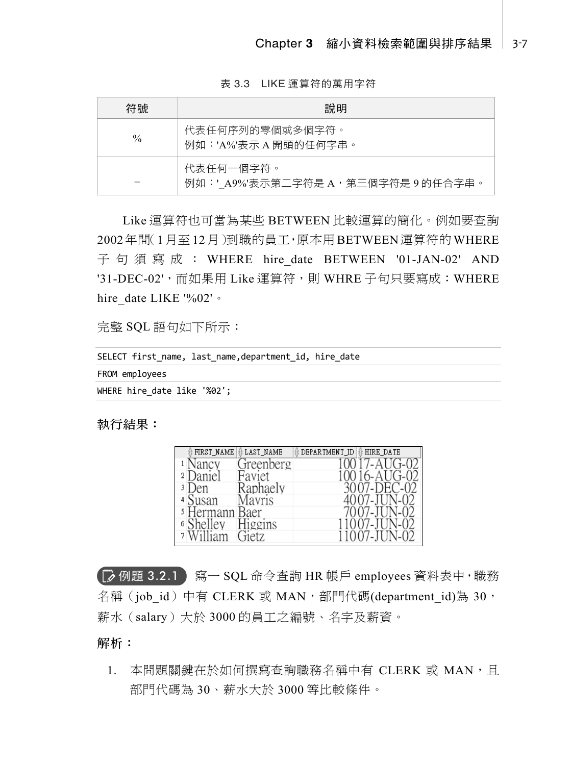表 3.3 LIKE 運算符的萬用字符

| 符號            | 說明                                             |
|---------------|------------------------------------------------|
| $\frac{0}{0}$ | 代表任何序列的零個或多個字符。<br>例如:'A%'表示 A 開頭的仟何字串。        |
|               | 代表仟何一個字符。<br>例如:'A9%'表示第二字符是 A,第三個字符是 9 的任合字串。 |

Like 運算符也可當為某些 BETWEEN 比較運算的簡化。例如要查詢 2002年間(1月至12月)到職的員工,原本用BETWEEN運算符的WHERE 子句須寫成: WHERE hire date BETWEEN '01-JAN-02' AND '31-DEC-02', 而如果用 Like 運算符, 則 WHRE 子句只要寫成: WHERE hire\_date LIKE '%02'。

完整 SQL 語句如下所示:

| SELECT first name, last name, department id, hire date |
|--------------------------------------------------------|
| FROM employees                                         |
| WHERE hire date like '%02';                            |

執行結果:

| # FIRST_NAME              | ₿ LAST_NAME | ₿ DEPARTMENT_ID   ₿ HIRE_DATE |
|---------------------------|-------------|-------------------------------|
| Nancy                     | Greenberg   |                               |
| )aniel<br>$\overline{2}$  | Faviet      |                               |
| 3 I I<br>)en              | Raphaely    | 3007-DEC-02                   |
| 4 Susan                   | Aavris      |                               |
| <sup>5</sup> Hermann Baer |             |                               |
| helley<br>6 S             | inggins     |                               |
| 7                         |             |                               |

例題 3.2.1 寫一 SQL 命令查詢 HR 帳戶 employees 資料表中,職務 名稱(job id)中有 CLERK 或 MAN,部門代碼(department id)為 30, 薪水(salary)大於 3000 的員工之編號、名字及薪資。

解析:

1. 本問題關鍵在於如何撰寫杳詢職務名稱中有 CLERK 或 MAN, 目 部門代碼為 30、薪水大於 3000 等比較條件。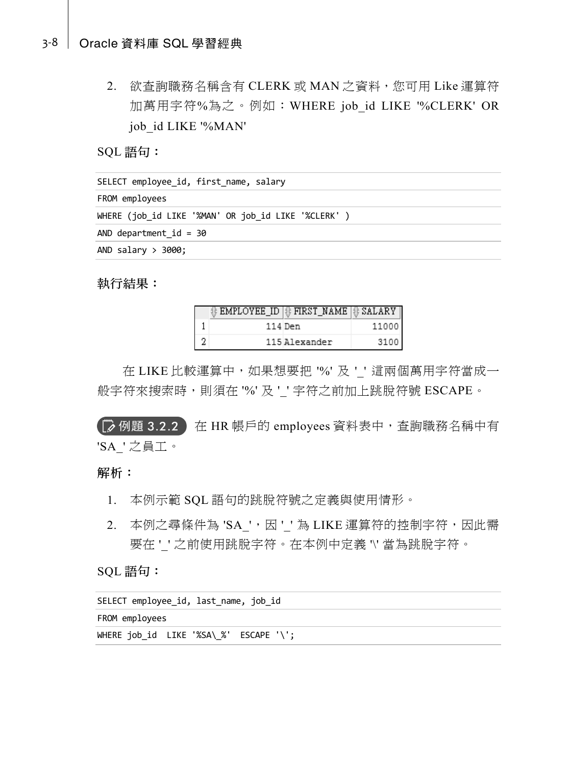#### 3-8 Oracle 資料庫 SQL 學習經典

2. 欲查詢職務名稱含有 CLERK 或 MAN 之資料,您可用 Like 運算符 加萬用字符%為之。例如: WHERE job id LIKE '%CLERK' OR job\_id LIKE '%MAN'

SQL 語句:

| SELECT employee id, first name, salary              |
|-----------------------------------------------------|
| FROM employees                                      |
| WHERE (job id LIKE '%MAN' OR job id LIKE '%CLERK' ) |
| AND department $id = 30$                            |
| AND salary $>$ 3000;                                |
|                                                     |

執行結果:

|   | ∯ EMPLOYEE_ID   ₿ FIRST_NAME   ₿ SALARY |               |       |
|---|-----------------------------------------|---------------|-------|
|   |                                         | 114 Den       | 11000 |
| 2 |                                         | 115 Alexander | 3100  |

在 LIKE 比較運算中, 如果想要把 '%' 及 ' ' 這兩個萬用字符當成一 般字符來搜索時,則須在 '%' 及''字符之前加上跳脫符號 ESCAPE。

【■ 例題 3.2.2 】在 HR 帳戶的 employees 資料表中, 查詢職務名稱中有 'SA\_' 之員工。

#### 解析:

- 1. 本例示範 SQL 語句的跳脫符號之定義與使用情形。
- 2. 本例之尋條件為 'SA',因''為 LIKE 運算符的控制字符,因此需 要在''之前使用跳脫字符。在本例中定義 \' 當為跳脫字符。

### SQL 語句:

| SELECT employee id, last name, job id  |  |
|----------------------------------------|--|
| FROM employees                         |  |
| WHERE job id LIKE '%SA\ %' ESCAPE '\'; |  |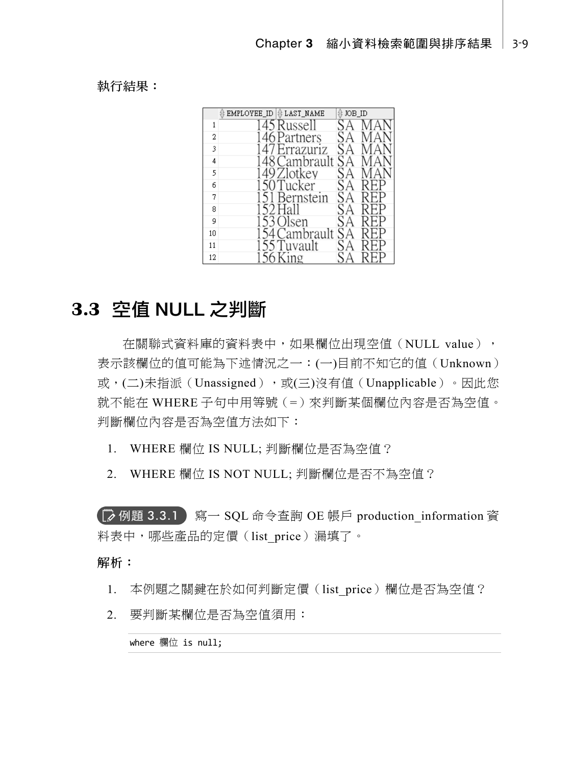執行結果:

|    | EMPLOYEE ID   & LAST NAME | JOB_ID |          |
|----|---------------------------|--------|----------|
| 1  | 45 Russell                |        |          |
| 2  | 46 Partners               |        |          |
| 3  | 47 Errazuriz              | SА     |          |
| 4  | 48 Cambrault              | SA     |          |
| 5  | 49 Zlotkey                | SА     |          |
| 6  | 50 Tucker                 |        | P<br>RF. |
| 7  | 1 Bernstein               | SΑ     |          |
| 8  | 52 Hall                   |        |          |
| 9  | 153 Olsen                 | SA     |          |
| 10 | 154 Cambrault             | SA     |          |
| 11 | 155 Tuvault               |        |          |
| 12 | 56 King                   |        |          |

# **3.3** 空值 NULL 之判斷

在關聯式資料庫的資料表中,如果欄位出現空值(NULL value), 表示該欄位的值可能為下述情況之一:(一)目前不知它的值(Unknown) 或,(二)未指派(Unassigned),或(三)沒有值(Unapplicable)。因此您 就不能在 WHERE 子句中用等號(=)來判斷某個欄位內容是否為空值。 判斷欄位內容是否為空值方法如下:

1. WHERE 欄位 IS NULL; 判斷欄位是否為空值?

2. WHERE 欄位 IS NOT NULL; 判斷欄位是否不為空值?

**■ 例題 3.3.1** 寫一 SQL 命令查詢 OE 帳戶 production information 資 料表中,哪些產品的定價(list price)漏填了。

#### 解析:

- 1. 本例題之關鍵在於如何判斷定價 (list price)欄位是否為空值?
- 2. 要判斷某欄位是否為空值須用:

where 欄位 is null;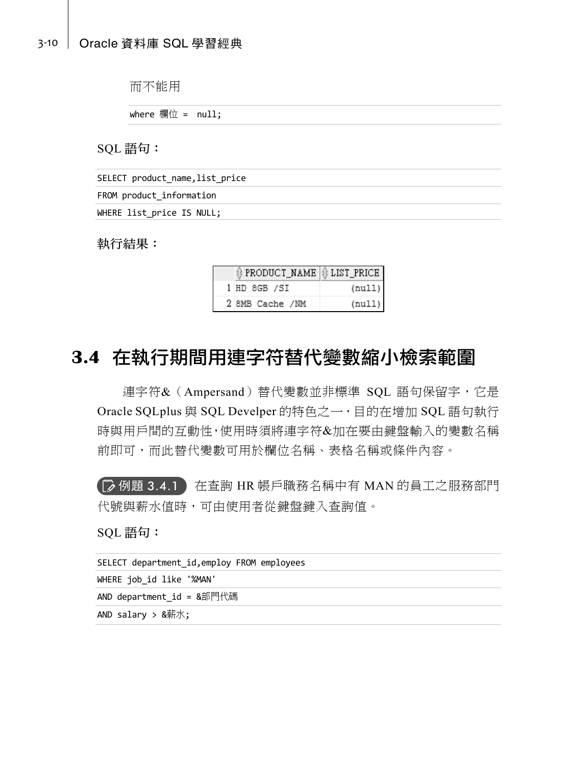#### 3-10 Oracle 資料庫 SQL 學習經典

而不能用

where 欄位 =  $null;$ 

SQL 語句:

| SELECT product name, list price |  |
|---------------------------------|--|
| FROM product information        |  |
| WHERE list price IS NULL;       |  |

執行結果:

| † PRODUCT_NAME   † LIST_PRICE |        |
|-------------------------------|--------|
| 1 HD 8GB /SI                  | (null) |
| 2 8MB Cache /NM               | (null) |

# **3.4** 在執行期間用連字符替代變數縮小檢索範圍

連字符&(Ampersand)替代變數並非標準 SQL 語句保留字,它是 Oracle SQLplus 與 SQL Develper 的特色之一,目的在增加 SQL 語句執行 時與用戶間的互動性,使用時須將連字符&加在要由鍵盤輸入的變數名稱 前即可,而此替代變數可用於欄位名稱、表格名稱或條件內容。

【|≫ 例題 3.4.1 】在查詢 HR 帳戶職務名稱中有 MAN 的員工之服務部門 代號與薪水值時,可由使用者從鍵盤鍵入查詢值。

SQL 語句:

| SELECT department id, employ FROM employees |
|---------------------------------------------|
| WHERE job id like '%MAN'                    |
| AND department $id = 8$ 部門代碼                |
| AND salary $> 8$ 薪水;                        |
|                                             |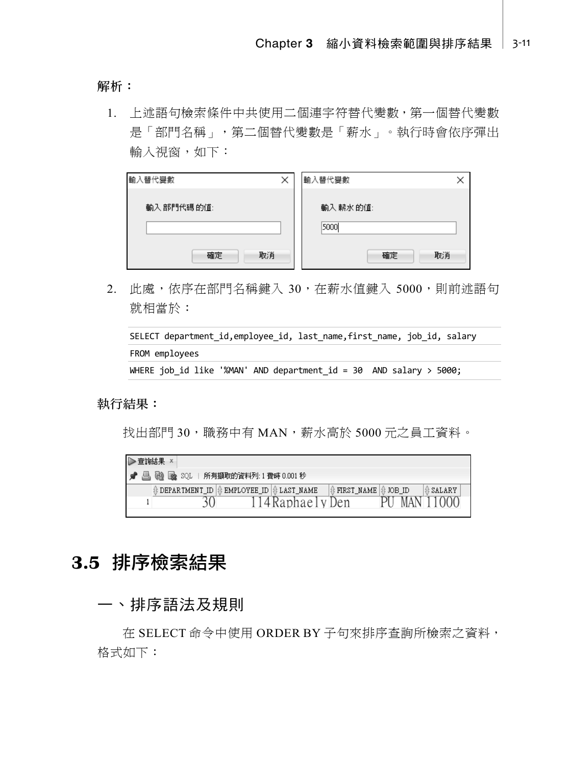解析:

1. 上述語句檢索條件中共使用二個連字符替代變數,第一個替代變數 是「部門名稱」,第二個替代變數是「薪水」。執行時會依序彈出 輸入視窗,如下:

| 輸入替代變數    | $\times$ | 輸入替代變數           |
|-----------|----------|------------------|
| 輸入部門代碼的值: |          | 輸入 薪水的值:         |
| 確定<br>取消  |          | 5000<br>確定<br>取消 |

2. 此處,依序在部門名稱鍵入 30, 在薪水值鍵入 5000, 則前述語句 就相當於:

```
SELECT department_id,employee_id, last_name,first_name, job_id, salary 
FROM employees 
WHERE job id like '%MAN' AND department id = 30 AND salary > 5000;
```
#### 執行結果:

找出部門 30,職務中有 MAN,薪水高於 5000 元之員工資料。

| D | ▶查詢結果 |  |                                                                               |                   |                           |  |       |                         |  |
|---|-------|--|-------------------------------------------------------------------------------|-------------------|---------------------------|--|-------|-------------------------|--|
|   |       |  | ■ ▲ ■ ■ ■ ■ SQL   所有擷取的資料列:1費時 0.001秒                                         |                   |                           |  |       |                         |  |
|   |       |  | $\frac{1}{2}$ DEPARTMENT_ID $\frac{1}{2}$ EMPLOYEE_ID $\frac{1}{2}$ LAST_NAME |                   | │ ∯ FIRST_NAME   ∯ JOB_ID |  |       | <b><i>ft SALARY</i></b> |  |
|   |       |  |                                                                               | '4 Raphae I y Den |                           |  | MAN 1 | 1(0(0))                 |  |

# **3.5** 排序檢索結果

## 一、排序語法及規則

在 SELECT 命令中使用 ORDER BY 子句來排序查詢所檢索之資料, 格式如下: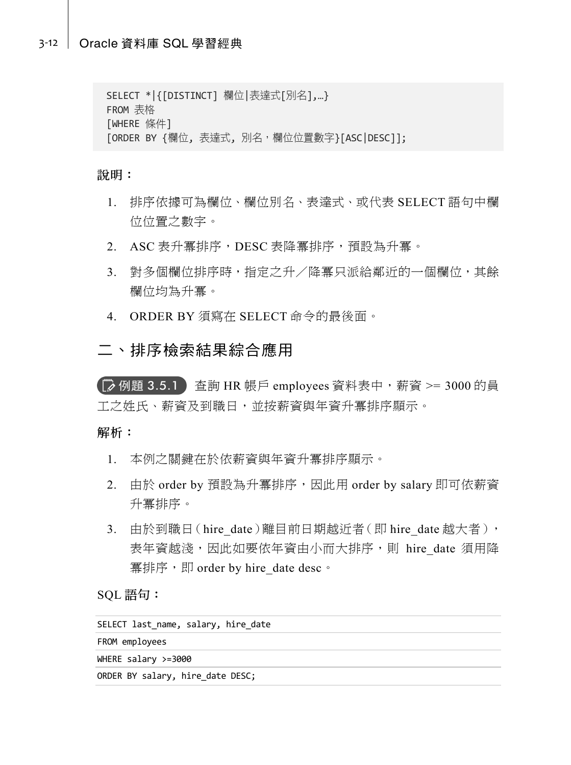```
SELECT *|{[DISTINCT] 欄位|表達式[別名],…} 
FROM 表格
[WHERE 條件] 
[ORDER BY {欄位, 表達式, 別名,欄位位置數字}[ASC|DESC]];
```
說明:

- 1. 排序依據可為欄位、欄位別名、表達式、或代表 SELECT 語句中欄 位位置之數字。
- 2. ASC 表升冪排序,DESC 表降冪排序,預設為升冪。
- 3. 對多個欄位排序時, 指定之升/降冪只派給鄰近的一個欄位, 其餘 欄位均為升冪。
- 4. ORDER BY 須寫在 SELECT 命令的最後面。

## 二、排序檢索結果綜合應用

**(■ 例題 3.5.1** 查詢 HR 帳戶 employees 資料表中, 薪資 >= 3000 的員 工之姓氏、薪資及到職日,並按薪資與年資升冪排序顯示。

#### 解析:

- 1. 本例之關鍵在於依薪資與年資升冪排序顯示。
- 2. 由於 order by 預設為升冪排序,因此用 order by salary 即可依薪資 升冪排序。
- 3. 由於到職日(hire date)離目前日期越近者(即 hire date 越大者), 表年資越淺,因此如要依年資由小而大排序,則 hire\_date 須用降 冪排序,即 order by hire\_date desc。

SQL 語句:

| SELECT last name, salary, hire date |  |
|-------------------------------------|--|
| FROM employees                      |  |
| WHERE salary $>=$ 3000              |  |
| ORDER BY salary, hire date DESC;    |  |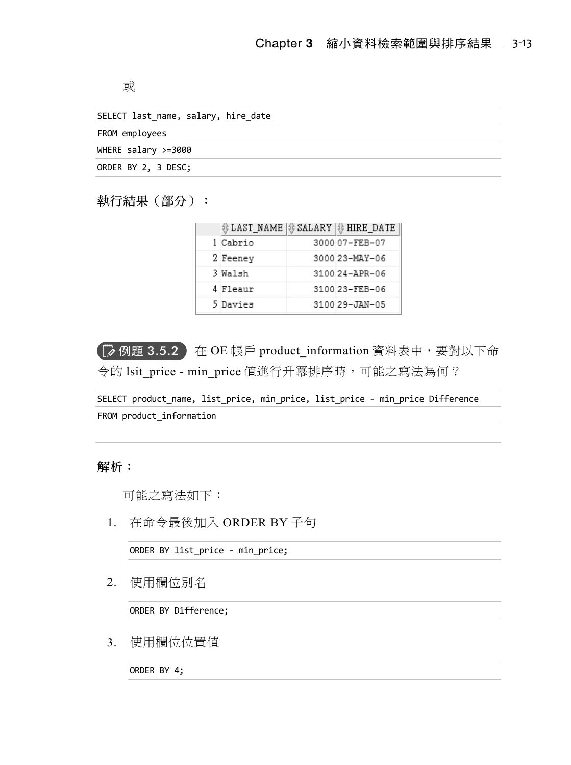或

| SELECT last name, salary, hire date |
|-------------------------------------|
| FROM employees                      |
| WHERE salary $>=$ 3000              |
| ORDER BY 2, 3 DESC;                 |
|                                     |

## 執行結果(部分):

| 非 LAST_NAME | \$ SALARY  \$ HIRE_DATE |
|-------------|-------------------------|
| 1 Cabrio    | 3000 07-FEB-07          |
| 2 Feeney    | 3000 23-MAY-06          |
| 3 Walsh     | 3100 24-APR-06          |
| 4 Fleaur    | 3100 23-FEB-06          |
| 5 Davies    | 3100 29-JAN-05          |

**■ 例題 3.5.2** 在 OE 帳戶 product\_information 資料表中,要對以下命 令的 lsit\_price - min\_price 值進行升冪排序時,可能之寫法為何?

SELECT product\_name, list\_price, min\_price, list\_price - min\_price Difference FROM product\_information

解析:

可能之寫法如下:

1. 在命令最後加入 ORDER BY 子句

ORDER BY list\_price - min\_price;

2. 使用欄位別名

ORDER BY Difference;

3. 使用欄位位置值

ORDER BY 4;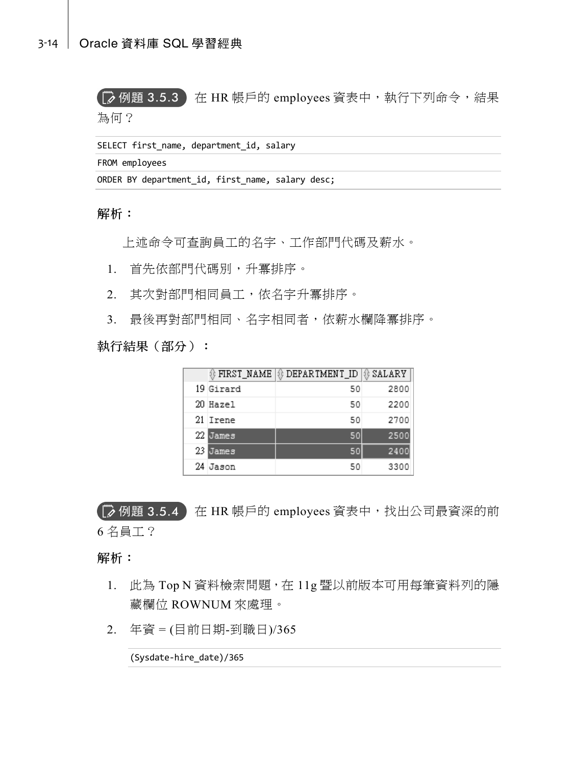( $\overline{\phantom{a}}$  例題 3.5.3 ) 在 HR 帳戶的 employees 資表中,執行下列命令,結果

為何?

SELECT first name, department id, salary

FROM employees

ORDER BY department id, first name, salary desc;

解析:

上述命令可查詢員工的名字、工作部門代碼及薪水。

1. 首先依部門代碼別,升冪排序。

2. 其次對部門相同員工,依名字升冪排序。

3. 最後再對部門相同、名字相同者,依薪水欄降冪排序。

執行結果(部分):

| ‡ FIRST_NAME | ∯ DEPARTMENT_ID   ∯ SALARY |      |
|--------------|----------------------------|------|
| 19 Girard    | 50                         | 2800 |
| 20 Hazel     | 50                         | 2200 |
| 21 Imene     | 50                         | 2700 |
| 22 James     | 50                         | 2500 |
| 23 James     | 50                         | 2400 |
| 24 Jason     | 50                         | 3300 |

 $\overline{\left(\mathbb{R}\right)}$  例題 3.5.4 在 HR 帳戶的 employees 資表中,找出公司最資深的前 6 名員工?

解析:

- 1. 此為 Top N 資料檢索問題,在 11g 暨以前版本可用每筆資料列的隱 藏欄位 ROWNUM 來處理。
- 2. 年資 = (目前日期-到職日)/365

(Sysdate-hire\_date)/365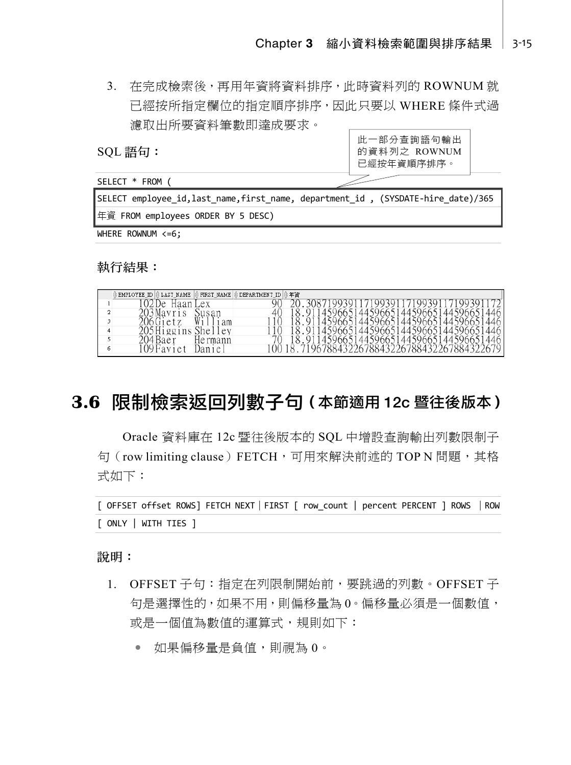3. 在完成檢索後,再用年資將資料排序,此時資料列的 ROWNUM 就 已經按所指定欄位的指定順序排序,因此只要以 WHERE 條件式過 濾取出所要資料筆數即達成要求。

SQL 語句:

SELECT \* FROM (



SELECT employee\_id,last\_name,first\_name, department\_id , (SYSDATE-hire\_date)/365 年資 FROM employees ORDER BY 5 DESC)

WHERE ROWNUM <= 6;

執行結果:

| EMPLOYEE_ID | LAST_NAME        | FIRST_NAME | DEPARTMENT_ID | 年資      |                                           |
|-------------|------------------|------------|---------------|---------|-------------------------------------------|
|             | De               | ex         |               |         |                                           |
|             | $\sqrt{3Mavr}$   |            |               |         | 144596651<br>4459665144596651             |
|             |                  | Wi<br>am   |               |         | 14596651445966514459665144596651446       |
|             | 5Higgins         | She<br>ev  |               |         | 1445966514459665144596651                 |
|             | 204 Baer         | Hermann    |               | 4459665 | 144596651<br>14459665<br>446              |
|             | $09$ Favi<br>e t | 1e         |               |         | !967884322678843226788432267884322<br>679 |

# **3.6** 限制檢索返回列數子句(本節適用 12c 暨往後版本)

Oracle 資料庫在 12c 暨往後版本的 SQL 中增設查詢輸出列數限制子 句(row limiting clause)FETCH,可用來解決前述的 TOP N 問題,其格 式如下:

[ OFFSET offset ROWS] FETCH NEXT|FIRST [ row\_count | percent PERCENT ] ROWS |ROW [ ONLY | WITH TIES ]

說明:

- 1. OFFSET 子句:指定在列限制開始前,要跳過的列數。OFFSET 子 句是選擇性的,如果不用,則偏移量為 0。偏移量必須是一個數值, 或是一個值為數值的運算式,規則如下:
	- 如果偏移量是負值,則視為 0。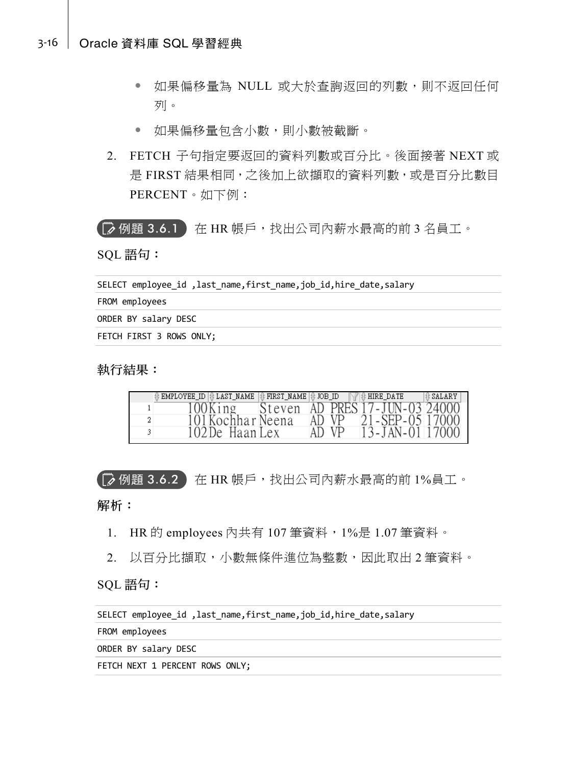#### 3-16 Oracle 資料庫 SQL 學習經典

- 如果偏移量為 NULL 或大於查詢返回的列數,則不返回任何 列。
- 如果偏移量包含小數,則小數被截斷。
- 2. FETCH 子句指定要返回的資料列數或百分比。後面接著 NEXT 或 是 FIRST 結果相同, 之後加上欲擷取的資料列數, 或是百分比數目 PERCENT。如下例:

【|"≫ 例題 3.6.1 】在 HR 帳戶,找出公司內薪水最高的前 3 名員工。

SQL 語句:

SELECT employee id ,last name,first name,job id,hire date,salary

FROM employees

ORDER BY salary DESC

FETCH FIRST 3 ROWS ONLY;

執行結果:

| EMPLOYEE ID # LAST NAME | $ \frac{1}{12} $ FIRST NAME $ \frac{1}{12} $ JOB ID |       | $\mathbb{N}$ <b>a</b> hire date | SALARY |
|-------------------------|-----------------------------------------------------|-------|---------------------------------|--------|
| $00$ King               |                                                     |       | Steven AD PRES 17-JUN-03 24000  |        |
| 101 Kochhar Neena       |                                                     | AD VP | $21 - SEP - 0517000$            |        |
| 102De Haan Lex          |                                                     | AD VP | 13 - JAN - 01 17000             |        |

**■ 例題 3.6.2** 在 HR 帳戶,找出公司內薪水最高的前 1%員工。

解析:

- 1. HR 的 employees 內共有 107 筆資料,1%是 1.07 筆資料。
- 2. 以百分比擷取,小數無條件進位為整數,因此取出 2 筆資料。

SQL 語句:

```
SELECT employee id, last name, first name, job id, hire date, salary
```
FROM employees

ORDER BY salary DESC

FETCH NEXT 1 PERCENT ROWS ONLY;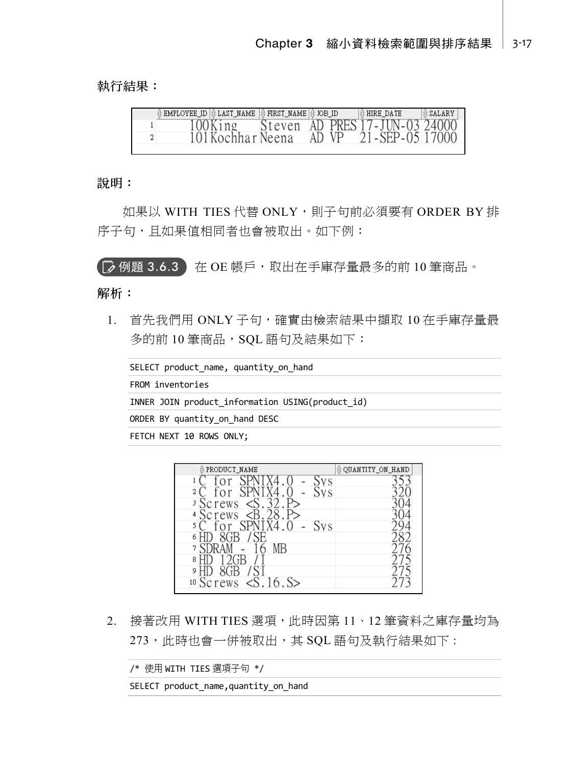執行結果:

| Steven AD PRES 17-JUN-03 24000<br>100King<br>21 - SEP - 05 17000<br>101 Kochhar Neena<br>AD VP |  | EMPLOYEE_ID  {} LAST_NAME | $ \text{\# FIRST NAME} $ to $\text{ID}$ |  | <b>E</b> HIRE DATE | <b>B</b> SALARY |
|------------------------------------------------------------------------------------------------|--|---------------------------|-----------------------------------------|--|--------------------|-----------------|
|                                                                                                |  |                           |                                         |  |                    |                 |
|                                                                                                |  |                           |                                         |  |                    |                 |

說明:

如果以 WITH TIES 代替 ONLY, 則子句前必須要有 ORDER BY 排 序子句, 且如果值相同者也會被取出。如下例:

(■ 例題 3.6.3 在 OE 帳戶,取出在手庫存量最多的前 10 筆商品。

解析:

1. 首先我們用 ONLY 子句,確實中檢索結果中擷取 10 在手庫存量最 多的前 10 筆商品, SQL 語句及結果如下:

SELECT product\_name, quantity\_on\_hand FROM inventories INNER JOIN product\_information USING(product\_id) ORDER BY quantity\_on\_hand DESC FETCH NEXT 10 ROWS ONLY;

| PRODUCT_NAME                             | <b>OUANTITY_ON_HAND</b> |
|------------------------------------------|-------------------------|
| УS                                       |                         |
| $\overline{2}$<br>VS                     |                         |
| $\overline{S}$<br><sup>3</sup> Screws    |                         |
| B <sub>2</sub><br><sup>4</sup> Screws    |                         |
| 5.<br><b>VS</b>                          |                         |
| 6                                        |                         |
| $\overline{7}$<br>MВ                     |                         |
| 8                                        |                         |
| 9                                        |                         |
| 16. S><br>$10$ Screws<br>$\leq$ S $\geq$ |                         |

2. 接著改用 WITH TIES 選項, 此時因第 11、12 筆資料之庫存量均為 273,此時也會一併被取出,其 SQL 語句及執行結果如下:

/\* 使用 WITH TIES 選項子句 \*/

SELECT product\_name,quantity\_on\_hand